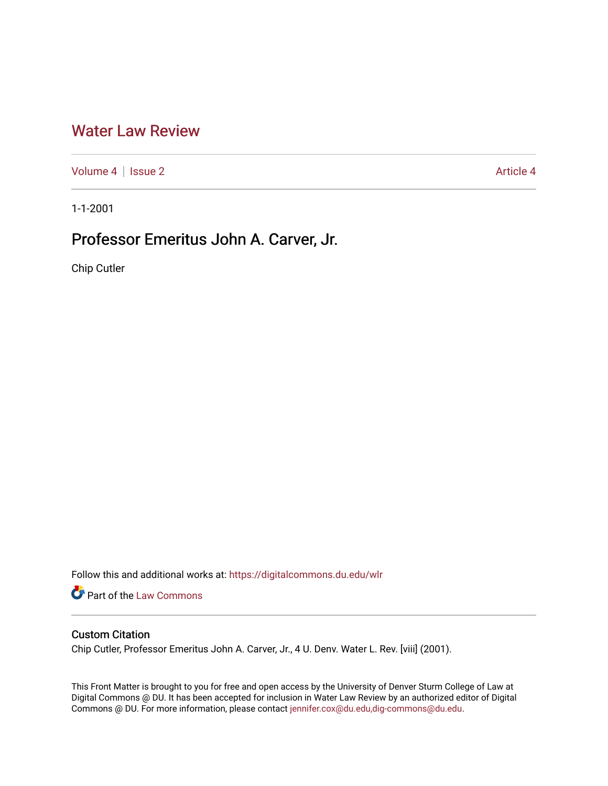## [Water Law Review](https://digitalcommons.du.edu/wlr)

[Volume 4](https://digitalcommons.du.edu/wlr/vol4) | [Issue 2](https://digitalcommons.du.edu/wlr/vol4/iss2) Article 4

1-1-2001

# Professor Emeritus John A. Carver, Jr.

Chip Cutler

Follow this and additional works at: [https://digitalcommons.du.edu/wlr](https://digitalcommons.du.edu/wlr?utm_source=digitalcommons.du.edu%2Fwlr%2Fvol4%2Fiss2%2F4&utm_medium=PDF&utm_campaign=PDFCoverPages) 

Part of the [Law Commons](http://network.bepress.com/hgg/discipline/578?utm_source=digitalcommons.du.edu%2Fwlr%2Fvol4%2Fiss2%2F4&utm_medium=PDF&utm_campaign=PDFCoverPages)

### Custom Citation

Chip Cutler, Professor Emeritus John A. Carver, Jr., 4 U. Denv. Water L. Rev. [viii] (2001).

This Front Matter is brought to you for free and open access by the University of Denver Sturm College of Law at Digital Commons @ DU. It has been accepted for inclusion in Water Law Review by an authorized editor of Digital Commons @ DU. For more information, please contact [jennifer.cox@du.edu,dig-commons@du.edu.](mailto:jennifer.cox@du.edu,dig-commons@du.edu)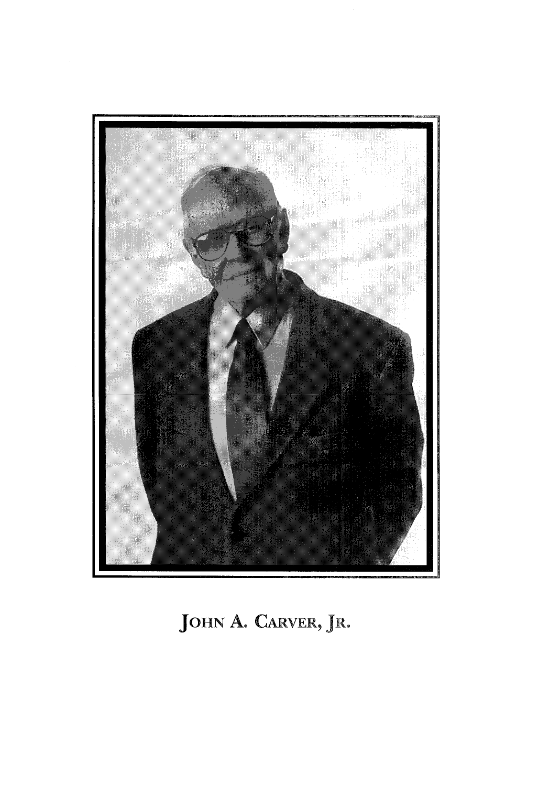

# **JOHN A.** CARVER, JR.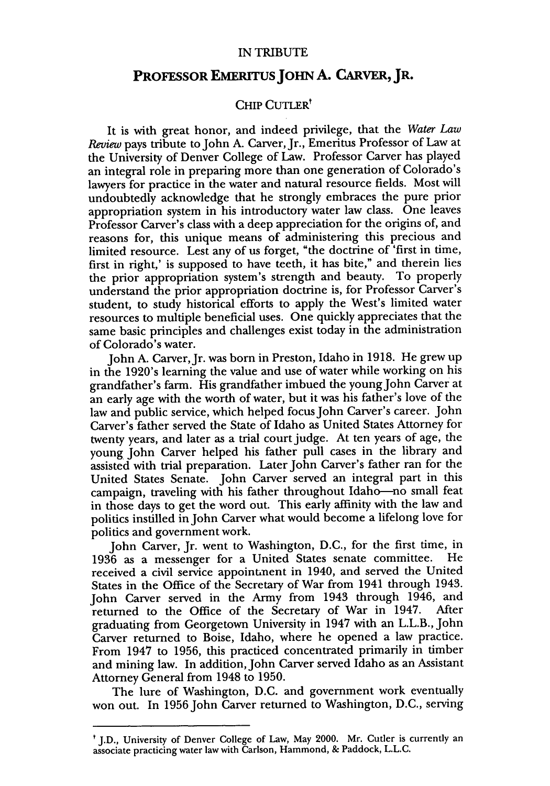#### IN TRIBUTE

### PROFESSOR EMERITUS JOHN A. CARVER, JR.

### CHIP CUTLER<sup>t</sup>

It is with great honor, and indeed privilege, that the *Water Law Review* pays tribute to John A. Carver, Jr., Emeritus Professor of Law at the University of Denver College of Law. Professor Carver has played an integral role in preparing more than one generation of Colorado's lawyers for practice in the water and natural resource fields. Most will undoubtedly acknowledge that he strongly embraces the pure prior appropriation system in his introductory water law class. One leaves Professor Carver's class with a deep appreciation for the origins of, and reasons for, this unique means of administering this precious and limited resource. Lest any of us forget, "the doctrine of 'first in time, first in right,' is supposed to have teeth, it has bite," and therein lies the prior appropriation system's strength and beauty. To properly understand the prior appropriation doctrine is, for Professor Carver's student, to study historical efforts to apply the West's limited water resources to multiple beneficial uses. One quickly appreciates that the same basic principles and challenges exist today in the administration of Colorado's water.

John A. Carver, Jr. was born in Preston, Idaho in 1918. He grew up in the 1920's learning the value and use of water while working on his grandfather's farm. His grandfather imbued the young John Carver at an early age with the worth of water, but it was his father's love of the law and public service, which helped focus John Carver's career. John Carver's father served the State of Idaho as United States Attorney for twenty years, and later as a trial court judge. At ten years of age, the young John Carver helped his father pull cases in the library and assisted with trial preparation. Later John Carver's father ran for the United States Senate. John Carver served an integral part in this campaign, traveling with his father throughout Idaho-no small feat in those days to get the word out. This early affinity with the law and politics instilled in John Carver what would become a lifelong love for politics and government work.

John Carver, Jr. went to Washington, D.C., for the first time, in 1936 as a messenger for a United States senate committee. received a civil service appointment in 1940, and served the United States in the Office of the Secretary of War from 1941 through 1943. John Carver served in the Army from 1943 through 1946, and returned to the Office of the Secretary of War in 1947. After graduating from Georgetown University in 1947 with an L.L.B., John Carver returned to Boise, Idaho, where he opened a law practice. From 1947 to 1956, this practiced concentrated primarily in timber and mining law. In addition, John Carver served Idaho as an Assistant Attorney General from 1948 to 1950.

The lure of Washington, D.C. and government work eventually won out. In 1956 John Carver returned to Washington, D.C., serving

t J.D., University of Denver College of Law, May 2000. Mr. Cutler is currently an associate practicing water law with Carlson, Hammond, & Paddock, L.L.C.